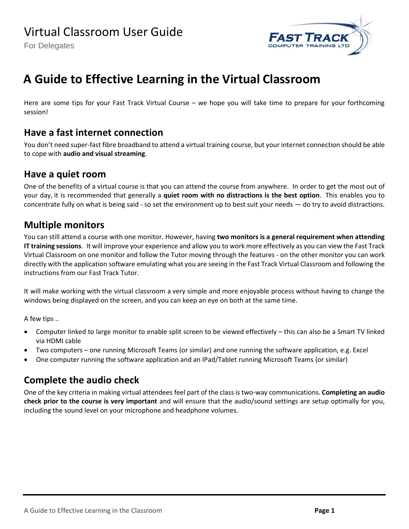For Delegates



# **A Guide to Effective Learning in the Virtual Classroom**

Here are some tips for your Fast Track Virtual Course – we hope you will take time to prepare for your forthcoming session!

## **Have a fast internet connection**

You don't need super-fast fibre broadband to attend a virtual training course, but your internet connection should be able to cope with **audio and visual streaming**.

#### **Have a quiet room**

One of the benefits of a virtual course is that you can attend the course from anywhere. In order to get the most out of your day, it is recommended that generally a **quiet room with no distractions is the best option**. This enables you to concentrate fully on what is being said - so set the environment up to best suit your needs — do try to avoid distractions.

## **Multiple monitors**

You can still attend a course with one monitor. However, having **two monitors is a general requirement when attending IT training sessions**. It will improve your experience and allow you to work more effectively as you can view the Fast Track Virtual Classroom on one monitor and follow the Tutor moving through the features - on the other monitor you can work directly with the application software emulating what you are seeing in the Fast Track Virtual Classroom and following the instructions from our Fast Track Tutor.

It will make working with the virtual classroom a very simple and more enjoyable process without having to change the windows being displayed on the screen, and you can keep an eye on both at the same time.

A few tips ..

- Computer linked to large monitor to enable split screen to be viewed effectively this can also be a Smart TV linked via HDMI cable
- Two computers one running Microsoft Teams (or similar) and one running the software application, e.g. Excel
- One computer running the software application and an IPad/Tablet running Microsoft Teams (or similar)

## **Complete the audio check**

One of the key criteria in making virtual attendees feel part of the class is two-way communications. **Completing an audio check prior to the course is very important** and will ensure that the audio/sound settings are setup optimally for you, including the sound level on your microphone and headphone volumes.